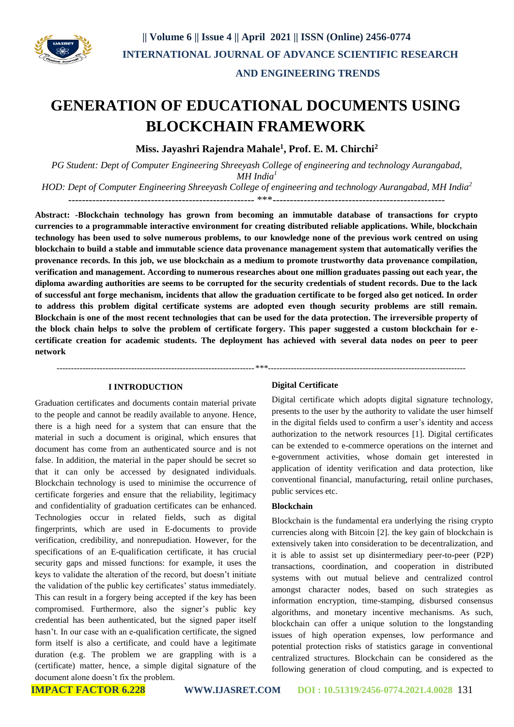

### **AND ENGINEERING TRENDS**

# **GENERATION OF EDUCATIONAL DOCUMENTS USING BLOCKCHAIN FRAMEWORK**

**Miss. Jayashri Rajendra Mahale<sup>1</sup> , Prof. E. M. Chirchi<sup>2</sup>**

*PG Student: Dept of Computer Engineering Shreeyash College of engineering and technology Aurangabad, MH India<sup>1</sup>*

*HOD: Dept of Computer Engineering Shreeyash College of engineering and technology Aurangabad, MH India<sup>2</sup>* ------------------------------------------------------ \*\*\*--------------------------------------------------

**Abstract: -Blockchain technology has grown from becoming an immutable database of transactions for crypto currencies to a programmable interactive environment for creating distributed reliable applications. While, blockchain technology has been used to solve numerous problems, to our knowledge none of the previous work centred on using blockchain to build a stable and immutable science data provenance management system that automatically verifies the provenance records. In this job, we use blockchain as a medium to promote trustworthy data provenance compilation, verification and management. According to numerous researches about one million graduates passing out each year, the diploma awarding authorities are seems to be corrupted for the security credentials of student records. Due to the lack of successful ant forge mechanism, incidents that allow the graduation certificate to be forged also get noticed. In order to address this problem digital certificate systems are adopted even though security problems are still remain. Blockchain is one of the most recent technologies that can be used for the data protection. The irreversible property of the block chain helps to solve the problem of certificate forgery. This paper suggested a custom blockchain for ecertificate creation for academic students. The deployment has achieved with several data nodes on peer to peer network**

#### **I INTRODUCTION**

Graduation certificates and documents contain material private to the people and cannot be readily available to anyone. Hence, there is a high need for a system that can ensure that the material in such a document is original, which ensures that document has come from an authenticated source and is not false. In addition, the material in the paper should be secret so that it can only be accessed by designated individuals. Blockchain technology is used to minimise the occurrence of certificate forgeries and ensure that the reliability, legitimacy and confidentiality of graduation certificates can be enhanced. Technologies occur in related fields, such as digital fingerprints, which are used in E-documents to provide verification, credibility, and nonrepudiation. However, for the specifications of an E-qualification certificate, it has crucial security gaps and missed functions: for example, it uses the keys to validate the alteration of the record, but doesn't initiate the validation of the public key certificates' status immediately. This can result in a forgery being accepted if the key has been compromised. Furthermore, also the signer's public key credential has been authenticated, but the signed paper itself hasn't. In our case with an e-qualification certificate, the signed form itself is also a certificate, and could have a legitimate duration (e.g. The problem we are grappling with is a (certificate) matter, hence, a simple digital signature of the document alone doesn't fix the problem.

#### **Digital Certificate**

 *---------------------------------------------------------------------\*\*\*---------------------------------------------------------------------*

Digital certificate which adopts digital signature technology, presents to the user by the authority to validate the user himself in the digital fields used to confirm a user's identity and access authorization to the network resources [1]. Digital certificates can be extended to e-commerce operations on the internet and e-government activities, whose domain get interested in application of identity verification and data protection, like conventional financial, manufacturing, retail online purchases, public services etc.

#### **Blockchain**

Blockchain is the fundamental era underlying the rising crypto currencies along with Bitcoin [2]. the key gain of blockchain is extensively taken into consideration to be decentralization, and it is able to assist set up disintermediary peer-to-peer (P2P) transactions, coordination, and cooperation in distributed systems with out mutual believe and centralized control amongst character nodes, based on such strategies as information encryption, time-stamping, disbursed consensus algorithms, and monetary incentive mechanisms. As such, blockchain can offer a unique solution to the longstanding issues of high operation expenses, low performance and potential protection risks of statistics garage in conventional centralized structures. Blockchain can be considered as the following generation of cloud computing, and is expected to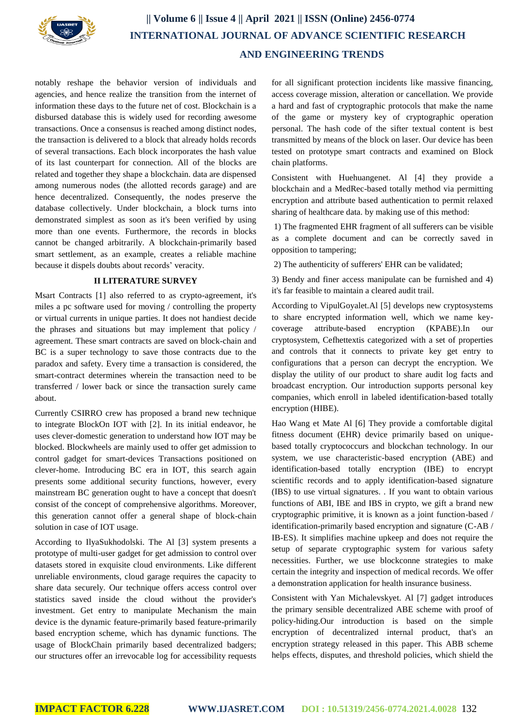

## **|| Volume 6 || Issue 4 || April 2021 || ISSN (Online) 2456-0774 INTERNATIONAL JOURNAL OF ADVANCE SCIENTIFIC RESEARCH AND ENGINEERING TRENDS**

notably reshape the behavior version of individuals and agencies, and hence realize the transition from the internet of information these days to the future net of cost. Blockchain is a disbursed database this is widely used for recording awesome transactions. Once a consensus is reached among distinct nodes, the transaction is delivered to a block that already holds records of several transactions. Each block incorporates the hash value of its last counterpart for connection. All of the blocks are related and together they shape a blockchain. data are dispensed among numerous nodes (the allotted records garage) and are hence decentralized. Consequently, the nodes preserve the database collectively. Under blockchain, a block turns into demonstrated simplest as soon as it's been verified by using more than one events. Furthermore, the records in blocks cannot be changed arbitrarily. A blockchain-primarily based smart settlement, as an example, creates a reliable machine because it dispels doubts about records' veracity.

#### **II LITERATURE SURVEY**

Msart Contracts [1] also referred to as crypto-agreement, it's miles a pc software used for moving / controlling the property or virtual currents in unique parties. It does not handiest decide the phrases and situations but may implement that policy / agreement. These smart contracts are saved on block-chain and BC is a super technology to save those contracts due to the paradox and safety. Every time a transaction is considered, the smart-contract determines wherein the transaction need to be transferred / lower back or since the transaction surely came about.

Currently CSIRRO crew has proposed a brand new technique to integrate BlockOn IOT with [2]. In its initial endeavor, he uses clever-domestic generation to understand how IOT may be blocked. Blockwheels are mainly used to offer get admission to control gadget for smart-devices Transactions positioned on clever-home. Introducing BC era in IOT, this search again presents some additional security functions, however, every mainstream BC generation ought to have a concept that doesn't consist of the concept of comprehensive algorithms. Moreover, this generation cannot offer a general shape of block-chain solution in case of IOT usage.

According to IlyaSukhodolski. The Al [3] system presents a prototype of multi-user gadget for get admission to control over datasets stored in exquisite cloud environments. Like different unreliable environments, cloud garage requires the capacity to share data securely. Our technique offers access control over statistics saved inside the cloud without the provider's investment. Get entry to manipulate Mechanism the main device is the dynamic feature-primarily based feature-primarily based encryption scheme, which has dynamic functions. The usage of BlockChain primarily based decentralized badgers; our structures offer an irrevocable log for accessibility requests

for all significant protection incidents like massive financing, access coverage mission, alteration or cancellation. We provide a hard and fast of cryptographic protocols that make the name of the game or mystery key of cryptographic operation personal. The hash code of the sifter textual content is best transmitted by means of the block on laser. Our device has been tested on prototype smart contracts and examined on Block chain platforms.

Consistent with Huehuangenet. Al [4] they provide a blockchain and a MedRec-based totally method via permitting encryption and attribute based authentication to permit relaxed sharing of healthcare data. by making use of this method:

1) The fragmented EHR fragment of all sufferers can be visible as a complete document and can be correctly saved in opposition to tampering;

2) The authenticity of sufferers' EHR can be validated;

3) Bendy and finer access manipulate can be furnished and 4) it's far feasible to maintain a cleared audit trail.

According to VipulGoyalet.Al [5] develops new cryptosystems to share encrypted information well, which we name keycoverage attribute-based encryption (KPABE).In cryptosystem, Cefhettextis categorized with a set of properties and controls that it connects to private key get entry to configurations that a person can decrypt the encryption. We display the utility of our product to share audit log facts and broadcast encryption. Our introduction supports personal key companies, which enroll in labeled identification-based totally encryption (HIBE).

Hao Wang et Mate Al [6] They provide a comfortable digital fitness document (EHR) device primarily based on uniquebased totally cryptococcurs and blockchan technology. In our system, we use characteristic-based encryption (ABE) and identification-based totally encryption (IBE) to encrypt scientific records and to apply identification-based signature (IBS) to use virtual signatures. . If you want to obtain various functions of ABI, IBE and IBS in crypto, we gift a brand new cryptographic primitive, it is known as a joint function-based / identification-primarily based encryption and signature (C-AB / IB-ES). It simplifies machine upkeep and does not require the setup of separate cryptographic system for various safety necessities. Further, we use blockconne strategies to make certain the integrity and inspection of medical records. We offer a demonstration application for health insurance business.

Consistent with Yan Michalevskyet. Al [7] gadget introduces the primary sensible decentralized ABE scheme with proof of policy-hiding.Our introduction is based on the simple encryption of decentralized internal product, that's an encryption strategy released in this paper. This ABB scheme helps effects, disputes, and threshold policies, which shield the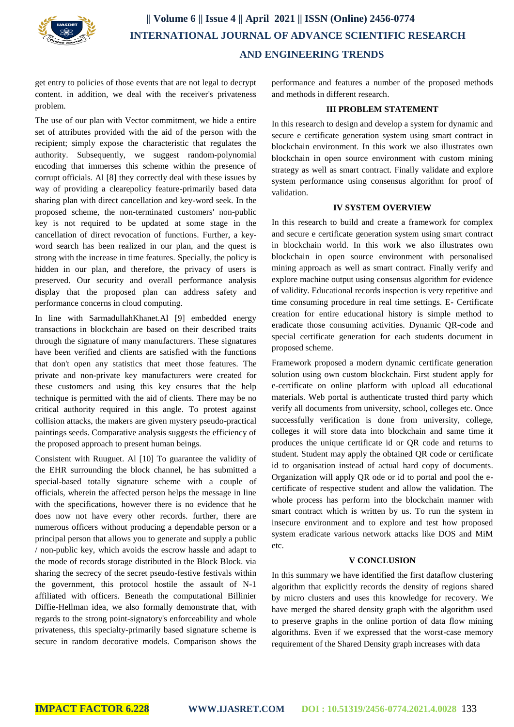

get entry to policies of those events that are not legal to decrypt content. in addition, we deal with the receiver's privateness problem.

The use of our plan with Vector commitment, we hide a entire set of attributes provided with the aid of the person with the recipient; simply expose the characteristic that regulates the authority. Subsequently, we suggest random-polynomial encoding that immerses this scheme within the presence of corrupt officials. Al [8] they correctly deal with these issues by way of providing a clearepolicy feature-primarily based data sharing plan with direct cancellation and key-word seek. In the proposed scheme, the non-terminated customers' non-public key is not required to be updated at some stage in the cancellation of direct revocation of functions. Further, a keyword search has been realized in our plan, and the quest is strong with the increase in time features. Specially, the policy is hidden in our plan, and therefore, the privacy of users is preserved. Our security and overall performance analysis display that the proposed plan can address safety and performance concerns in cloud computing.

In line with SarmadullahKhanet.Al [9] embedded energy transactions in blockchain are based on their described traits through the signature of many manufacturers. These signatures have been verified and clients are satisfied with the functions that don't open any statistics that meet those features. The private and non-private key manufacturers were created for these customers and using this key ensures that the help technique is permitted with the aid of clients. There may be no critical authority required in this angle. To protest against collision attacks, the makers are given mystery pseudo-practical paintings seeds. Comparative analysis suggests the efficiency of the proposed approach to present human beings.

Consistent with Ruuguet. Al [10] To guarantee the validity of the EHR surrounding the block channel, he has submitted a special-based totally signature scheme with a couple of officials, wherein the affected person helps the message in line with the specifications, however there is no evidence that he does now not have every other records. further, there are numerous officers without producing a dependable person or a principal person that allows you to generate and supply a public / non-public key, which avoids the escrow hassle and adapt to the mode of records storage distributed in the Block Block. via sharing the secrecy of the secret pseudo-festive festivals within the government, this protocol hostile the assault of N-1 affiliated with officers. Beneath the computational Billinier Diffie-Hellman idea, we also formally demonstrate that, with regards to the strong point-signatory's enforceability and whole privateness, this specialty-primarily based signature scheme is secure in random decorative models. Comparison shows the performance and features a number of the proposed methods and methods in different research.

#### **III PROBLEM STATEMENT**

In this research to design and develop a system for dynamic and secure e certificate generation system using smart contract in blockchain environment. In this work we also illustrates own blockchain in open source environment with custom mining strategy as well as smart contract. Finally validate and explore system performance using consensus algorithm for proof of validation.

#### **IV SYSTEM OVERVIEW**

In this research to build and create a framework for complex and secure e certificate generation system using smart contract in blockchain world. In this work we also illustrates own blockchain in open source environment with personalised mining approach as well as smart contract. Finally verify and explore machine output using consensus algorithm for evidence of validity. Educational records inspection is very repetitive and time consuming procedure in real time settings. E- Certificate creation for entire educational history is simple method to eradicate those consuming activities. Dynamic QR-code and special certificate generation for each students document in proposed scheme.

Framework proposed a modern dynamic certificate generation solution using own custom blockchain. First student apply for e-certificate on online platform with upload all educational materials. Web portal is authenticate trusted third party which verify all documents from university, school, colleges etc. Once successfully verification is done from university, college, colleges it will store data into blockchain and same time it produces the unique certificate id or QR code and returns to student. Student may apply the obtained QR code or certificate id to organisation instead of actual hard copy of documents. Organization will apply QR ode or id to portal and pool the ecertificate of respective student and allow the validation. The whole process has perform into the blockchain manner with smart contract which is written by us. To run the system in insecure environment and to explore and test how proposed system eradicate various network attacks like DOS and MiM etc.

#### **V CONCLUSION**

In this summary we have identified the first dataflow clustering algorithm that explicitly records the density of regions shared by micro clusters and uses this knowledge for recovery. We have merged the shared density graph with the algorithm used to preserve graphs in the online portion of data flow mining algorithms. Even if we expressed that the worst-case memory requirement of the Shared Density graph increases with data